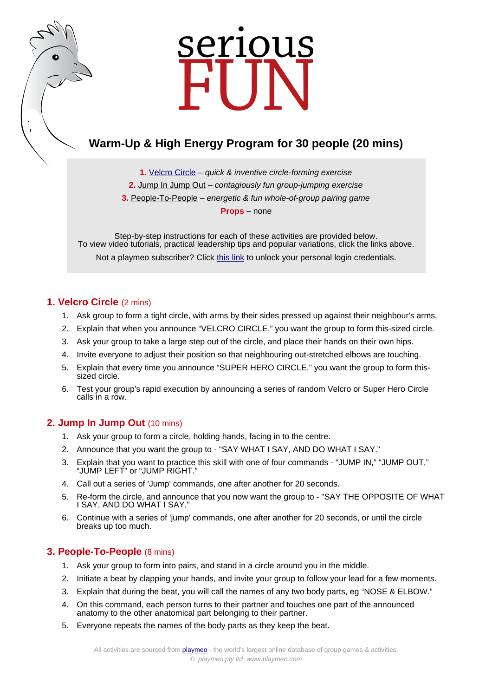# serious

# **Warm-Up & High Energy Program for 30 people (20 mins)**

**1.** [Velcro Circle](https://www.playmeo.com/activities/energizer-warm-up-games/velcro-circle/) – quick & inventive circle-forming exercise **2.** [Jump In Jump Out](https://www.playmeo.com/activities/energizer-warm-up-games/jump-in-jump-out/) – contagiously fun group-jumping exercise **3.** [People-To-People](https://www.playmeo.com/activities/energizer-warm-up-games/people-to-people/) – energetic & fun whole-of-group pairing game **Props** – none

Step-by-step instructions for each of these activities are provided below. To view video tutorials, practical leadership tips and popular variations, click the links above. Not a playmeo subscriber? Click [this link](http://www.playmeo.com/serious-fun-offer) to unlock your personal login credentials.

# **1. Velcro Circle** (2 mins)

- 1. Ask group to form a tight circle, with arms by their sides pressed up against their neighbour's arms.
- 2. Explain that when you announce "VELCRO CIRCLE," you want the group to form this-sized circle.
- 3. Ask your group to take a large step out of the circle, and place their hands on their own hips.
- 4. Invite everyone to adjust their position so that neighbouring out-stretched elbows are touching.
- 5. Explain that every time you announce "SUPER HERO CIRCLE," you want the group to form thissized circle.
- 6. Test your group's rapid execution by announcing a series of random Velcro or Super Hero Circle calls in a row.

## **2. Jump In Jump Out** (10 mins)

- 1. Ask your group to form a circle, holding hands, facing in to the centre.
- 2. Announce that you want the group to "SAY WHAT I SAY, AND DO WHAT I SAY."
- 3. Explain that you want to practice this skill with one of four commands "JUMP IN," "JUMP OUT," "JUMP LEFT" or "JUMP RIGHT."
- 4. Call out a series of 'Jump' commands, one after another for 20 seconds.
- 5. Re-form the circle, and announce that you now want the group to "SAY THE OPPOSITE OF WHAT I SAY, AND DO WHAT I SAY."
- 6. Continue with a series of 'jump' commands, one after another for 20 seconds, or until the circle breaks up too much.

## **3. People-To-People** (8 mins)

- 1. Ask your group to form into pairs, and stand in a circle around you in the middle.
- 2. Initiate a beat by clapping your hands, and invite your group to follow your lead for a few moments.
- 3. Explain that during the beat, you will call the names of any two body parts, eg "NOSE & ELBOW."
- 4. On this command, each person turns to their partner and touches one part of the announced anatomy to the other anatomical part belonging to their partner.
- 5. Everyone repeats the names of the body parts as they keep the beat.